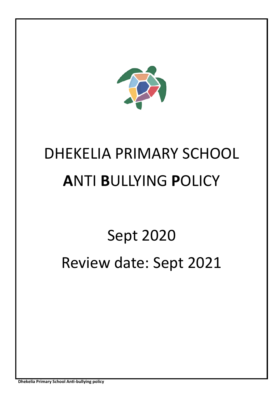

# DHEKELIA PRIMARY SCHOOL **A**NTI **B**ULLYING **P**OLICY

# Sept 2020 Review date: Sept 2021

**Dhekelia Primary School Anti-bullying policy**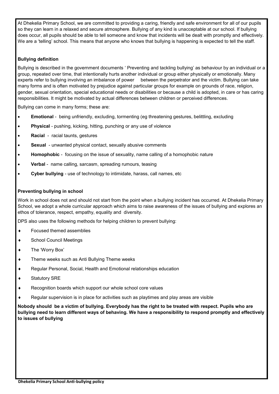At Dhekelia Primary School, we are committed to providing a caring, friendly and safe environment for all of our pupils so they can learn in a relaxed and secure atmosphere. Bullying of any kind is unacceptable at our school. If bullying does occur, all pupils should be able to tell someone and know that incidents will be dealt with promptly and effectively. We are a 'telling' school. This means that anyone who knows that bullying is happening is expected to tell the staff.

# **Bullying definition**

Bullying is described in the government documents ' Preventing and tackling bullying' as behaviour by an individual or a group, repeated over time, that intentionally hurts another individual or group either physically or emotionally. Many experts refer to bullying involving an imbalance of power between the perpetrator and the victim. Bullying can take many forms and is often motivated by prejudice against particular groups for example on grounds of race, religion, gender, sexual orientation, special educational needs or disabilities or because a child is adopted, in care or has caring responsibilities. It might be motivated by actual differences between children or perceived differences.

Bullying can come in many forms; these are:

- **Emotional**  being unfriendly, excluding, tormenting (eg threatening gestures, belittling, excluding
- **Physical** pushing, kicking, hitting, punching or any use of violence
- **Racial**  racial taunts, gestures
- **Sexual**  unwanted physical contact, sexually abusive comments
- **Homophobic**  focusing on the issue of sexuality, name calling of a homophobic nature
- **Verbal**  name calling, sarcasm, spreading rumours, teasing
- **Cyber bullying**  use of technology to intimidate, harass, call names, etc

# **Preventing bullying in school**

Work in school does not and should not start from the point when a bullying incident has occurred. At Dhekelia Primary School, we adopt a whole curricular approach which aims to raise awareness of the issues of bullying and explores an ethos of tolerance, respect, empathy, equality and diversity.

DPS also uses the following methods for helping children to prevent bullying:

- Focused themed assemblies
- School Council Meetings
- The 'Worry Box'
- ◆ Theme weeks such as Anti Bullying Theme weeks
- Regular Personal, Social, Health and Emotional relationships education
- ◆ Statutory SRE
- ◆ Recognition boards which support our whole school core values
- Regular supervision is in place for activities such as playtimes and play areas are visible

**Nobody should be a victim of bullying. Everybody has the right to be treated with respect. Pupils who are bullying need to learn different ways of behaving. We have a responsibility to respond promptly and effectively to issues of bullying**